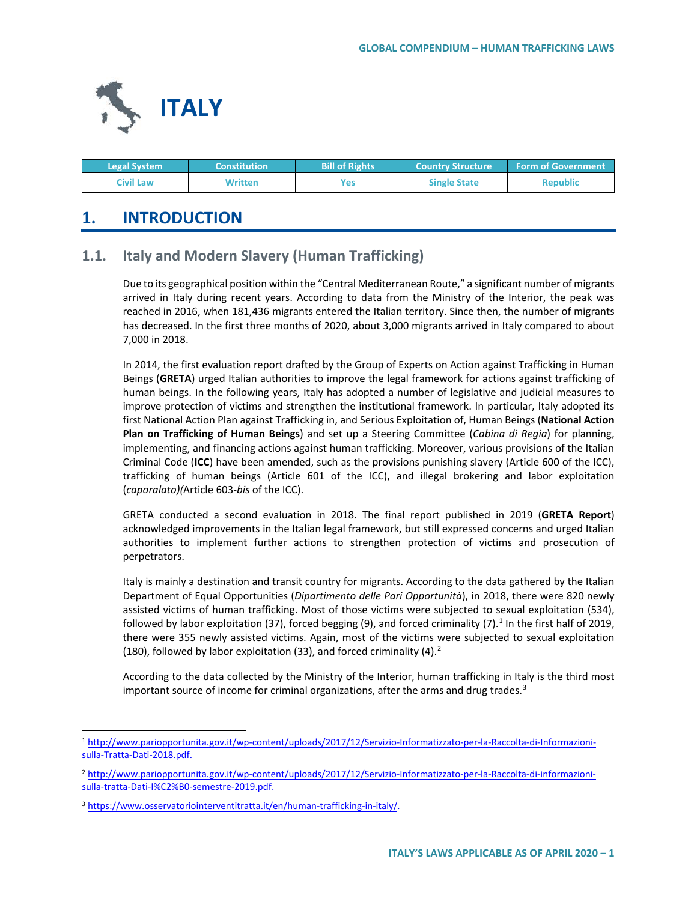

| <b>Legal System</b> | <b>Constitution</b> | <b>Bill of Rights</b> | <b>Country Structure ا</b> | <b>Form of Government</b> |
|---------------------|---------------------|-----------------------|----------------------------|---------------------------|
| Civil Law           | Written             | Yes:                  | <b>Single State</b>        | <b>Republic</b>           |

# **1. INTRODUCTION**

## **1.1. Italy and Modern Slavery (Human Trafficking)**

Due to its geographical position within the "Central Mediterranean Route," a significant number of migrants arrived in Italy during recent years. According to data from the Ministry of the Interior, the peak was reached in 2016, when 181,436 migrants entered the Italian territory. Since then, the number of migrants has decreased. In the first three months of 2020, about 3,000 migrants arrived in Italy compared to about 7,000 in 2018.

In 2014, the first evaluation report drafted by the Group of Experts on Action against Trafficking in Human Beings (**GRETA**) urged Italian authorities to improve the legal framework for actions against trafficking of human beings. In the following years, Italy has adopted a number of legislative and judicial measures to improve protection of victims and strengthen the institutional framework. In particular, Italy adopted its first National Action Plan against Trafficking in, and Serious Exploitation of, Human Beings (**National Action Plan on Trafficking of Human Beings**) and set up a Steering Committee (*Cabina di Regia*) for planning, implementing, and financing actions against human trafficking. Moreover, various provisions of the Italian Criminal Code (**ICC**) have been amended, such as the provisions punishing slavery (Article 600 of the ICC), trafficking of human beings (Article 601 of the ICC), and illegal brokering and labor exploitation (*caporalato)(*Article 603-*bis* of the ICC).

GRETA conducted a second evaluation in 2018. The final report published in 2019 (**GRETA Report**) acknowledged improvements in the Italian legal framework, but still expressed concerns and urged Italian authorities to implement further actions to strengthen protection of victims and prosecution of perpetrators.

Italy is mainly a destination and transit country for migrants. According to the data gathered by the Italian Department of Equal Opportunities (*Dipartimento delle Pari Opportunità*), in 2018, there were 820 newly assisted victims of human trafficking. Most of those victims were subjected to sexual exploitation (534), followed by labor exploitation (37), forced begging (9), and forced criminality (7).<sup>[1](#page-0-0)</sup> In the first half of 2019, there were 355 newly assisted victims. Again, most of the victims were subjected to sexual exploitation (180), followed by labor exploitation (33), and forced criminality (4). $2$ 

According to the data collected by the Ministry of the Interior, human trafficking in Italy is the third most important source of income for criminal organizations, after the arms and drug trades. $3$ 

<span id="page-0-0"></span> <sup>1</sup> [http://www.pariopportunita.gov.it/wp-content/uploads/2017/12/Servizio-Informatizzato-per-la-Raccolta-di-Informazioni](http://www.pariopportunita.gov.it/wp-content/uploads/2017/12/Servizio-Informatizzato-per-la-Raccolta-di-Informazioni-sulla-Tratta-Dati-2018.pdf)[sulla-Tratta-Dati-2018.pdf.](http://www.pariopportunita.gov.it/wp-content/uploads/2017/12/Servizio-Informatizzato-per-la-Raccolta-di-Informazioni-sulla-Tratta-Dati-2018.pdf)

<span id="page-0-1"></span><sup>2</sup> [http://www.pariopportunita.gov.it/wp-content/uploads/2017/12/Servizio-Informatizzato-per-la-Raccolta-di-informazioni](http://www.pariopportunita.gov.it/wp-content/uploads/2017/12/Servizio-Informatizzato-per-la-Raccolta-di-informazioni-sulla-tratta-Dati-I%C2%B0-semestre-2019.pdf)[sulla-tratta-Dati-I%C2%B0-semestre-2019.pdf.](http://www.pariopportunita.gov.it/wp-content/uploads/2017/12/Servizio-Informatizzato-per-la-Raccolta-di-informazioni-sulla-tratta-Dati-I%C2%B0-semestre-2019.pdf)

<span id="page-0-2"></span><sup>3</sup> [https://www.osservatoriointerventitratta.it/en/human-trafficking-in-italy/.](https://www.osservatoriointerventitratta.it/en/human-trafficking-in-italy/)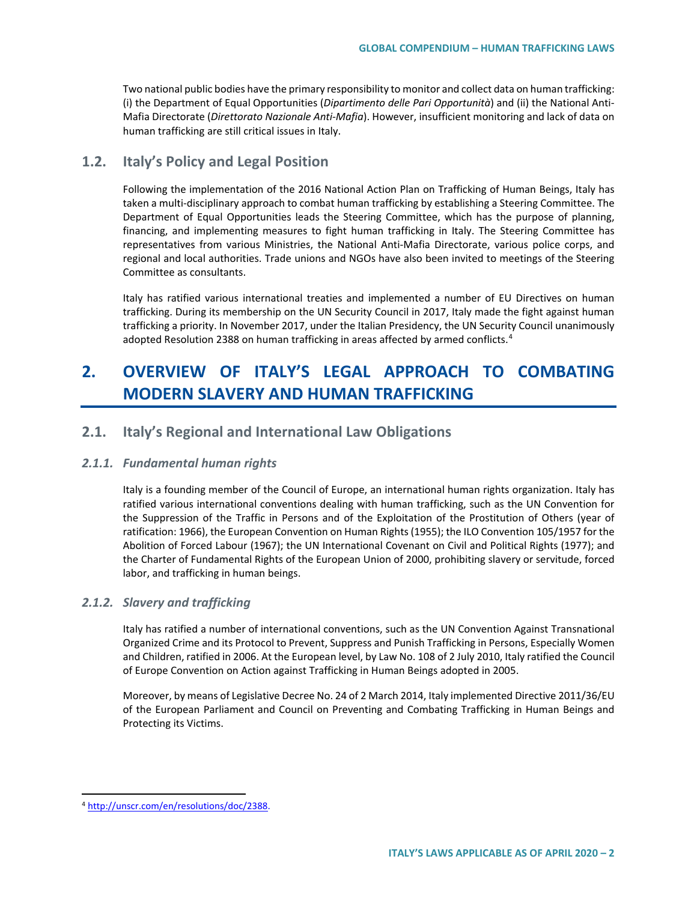Two national public bodies have the primary responsibility to monitor and collect data on human trafficking: (i) the Department of Equal Opportunities (*Dipartimento delle Pari Opportunità*) and (ii) the National Anti-Mafia Directorate (*Direttorato Nazionale Anti-Mafia*). However, insufficient monitoring and lack of data on human trafficking are still critical issues in Italy.

## **1.2. Italy's Policy and Legal Position**

Following the implementation of the 2016 National Action Plan on Trafficking of Human Beings, Italy has taken a multi-disciplinary approach to combat human trafficking by establishing a Steering Committee. The Department of Equal Opportunities leads the Steering Committee, which has the purpose of planning, financing, and implementing measures to fight human trafficking in Italy. The Steering Committee has representatives from various Ministries, the National Anti-Mafia Directorate, various police corps, and regional and local authorities. Trade unions and NGOs have also been invited to meetings of the Steering Committee as consultants.

Italy has ratified various international treaties and implemented a number of EU Directives on human trafficking. During its membership on the UN Security Council in 2017, Italy made the fight against human trafficking a priority. In November 2017, under the Italian Presidency, the UN Security Council unanimously adopted Resolution 2388 on human trafficking in areas affected by armed conflicts.<sup>[4](#page-1-0)</sup>

# **2. OVERVIEW OF ITALY'S LEGAL APPROACH TO COMBATING MODERN SLAVERY AND HUMAN TRAFFICKING**

## **2.1. Italy's Regional and International Law Obligations**

#### *2.1.1. Fundamental human rights*

Italy is a founding member of the Council of Europe, an international human rights organization. Italy has ratified various international conventions dealing with human trafficking, such as the UN Convention for the Suppression of the Traffic in Persons and of the Exploitation of the Prostitution of Others (year of ratification: 1966), the European Convention on Human Rights (1955); the ILO Convention 105/1957 for the Abolition of Forced Labour (1967); the UN International Covenant on Civil and Political Rights (1977); and the Charter of Fundamental Rights of the European Union of 2000, prohibiting slavery or servitude, forced labor, and trafficking in human beings.

#### *2.1.2. Slavery and trafficking*

Italy has ratified a number of international conventions, such as the UN Convention Against Transnational Organized Crime and its Protocol to Prevent, Suppress and Punish Trafficking in Persons, Especially Women and Children, ratified in 2006. At the European level, by Law No. 108 of 2 July 2010, Italy ratified the Council of Europe Convention on Action against Trafficking in Human Beings adopted in 2005.

Moreover, by means of Legislative Decree No. 24 of 2 March 2014, Italy implemented Directive 2011/36/EU of the European Parliament and Council on Preventing and Combating Trafficking in Human Beings and Protecting its Victims.

<span id="page-1-0"></span> <sup>4</sup> [http://unscr.com/en/resolutions/doc/2388.](http://unscr.com/en/resolutions/doc/2388)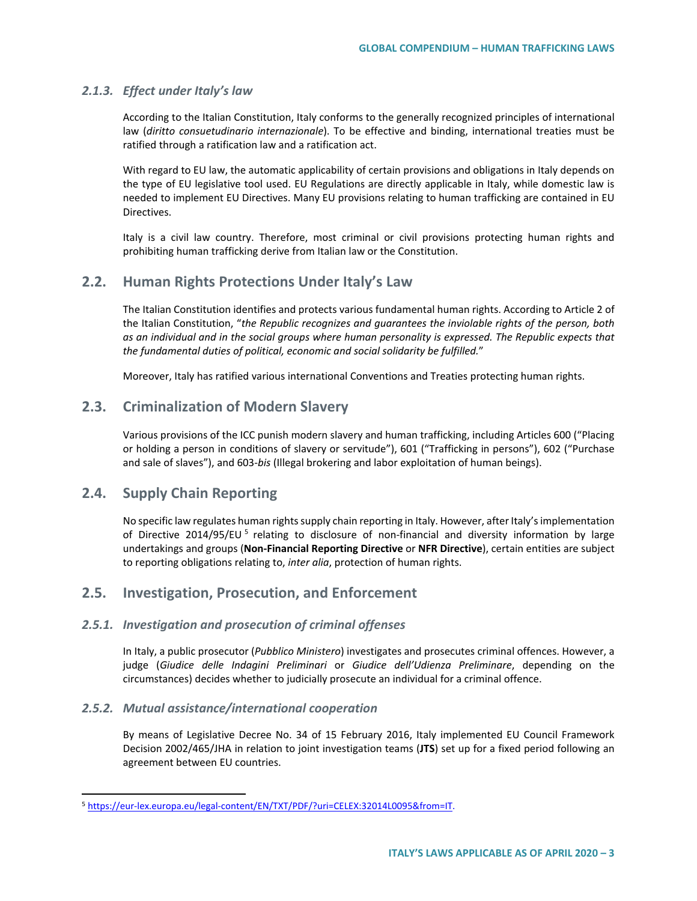#### *2.1.3. Effect under Italy's law*

According to the Italian Constitution, Italy conforms to the generally recognized principles of international law (*diritto consuetudinario internazionale*). To be effective and binding, international treaties must be ratified through a ratification law and a ratification act.

With regard to EU law, the automatic applicability of certain provisions and obligations in Italy depends on the type of EU legislative tool used. EU Regulations are directly applicable in Italy, while domestic law is needed to implement EU Directives. Many EU provisions relating to human trafficking are contained in EU Directives.

Italy is a civil law country. Therefore, most criminal or civil provisions protecting human rights and prohibiting human trafficking derive from Italian law or the Constitution.

## **2.2. Human Rights Protections Under Italy's Law**

The Italian Constitution identifies and protects various fundamental human rights. According to Article 2 of the Italian Constitution, "*the Republic recognizes and guarantees the inviolable rights of the person, both as an individual and in the social groups where human personality is expressed. The Republic expects that the fundamental duties of political, economic and social solidarity be fulfilled.*"

Moreover, Italy has ratified various international Conventions and Treaties protecting human rights.

## **2.3. Criminalization of Modern Slavery**

Various provisions of the ICC punish modern slavery and human trafficking, including Articles 600 ("Placing or holding a person in conditions of slavery or servitude"), 601 ("Trafficking in persons"), 602 ("Purchase and sale of slaves"), and 603-*bis* (Illegal brokering and labor exploitation of human beings).

## **2.4. Supply Chain Reporting**

No specific law regulates human rights supply chain reporting in Italy. However, after Italy's implementation of Directive 2014/9[5](#page-2-0)/EU<sup>5</sup> relating to disclosure of non-financial and diversity information by large undertakings and groups (**Non-Financial Reporting Directive** or **NFR Directive**), certain entities are subject to reporting obligations relating to, *inter alia*, protection of human rights.

## **2.5. Investigation, Prosecution, and Enforcement**

#### *2.5.1. Investigation and prosecution of criminal offenses*

In Italy, a public prosecutor (*Pubblico Ministero*) investigates and prosecutes criminal offences. However, a judge (*Giudice delle Indagini Preliminari* or *Giudice dell'Udienza Preliminare*, depending on the circumstances) decides whether to judicially prosecute an individual for a criminal offence.

#### *2.5.2. Mutual assistance/international cooperation*

By means of Legislative Decree No. 34 of 15 February 2016, Italy implemented EU Council Framework Decision 2002/465/JHA in relation to joint investigation teams (**JTS**) set up for a fixed period following an agreement between EU countries.

<span id="page-2-0"></span> <sup>5</sup> [https://eur-lex.europa.eu/legal-content/EN/TXT/PDF/?uri=CELEX:32014L0095&from=IT.](https://eur-lex.europa.eu/legal-content/EN/TXT/PDF/?uri=CELEX:32014L0095&from=IT)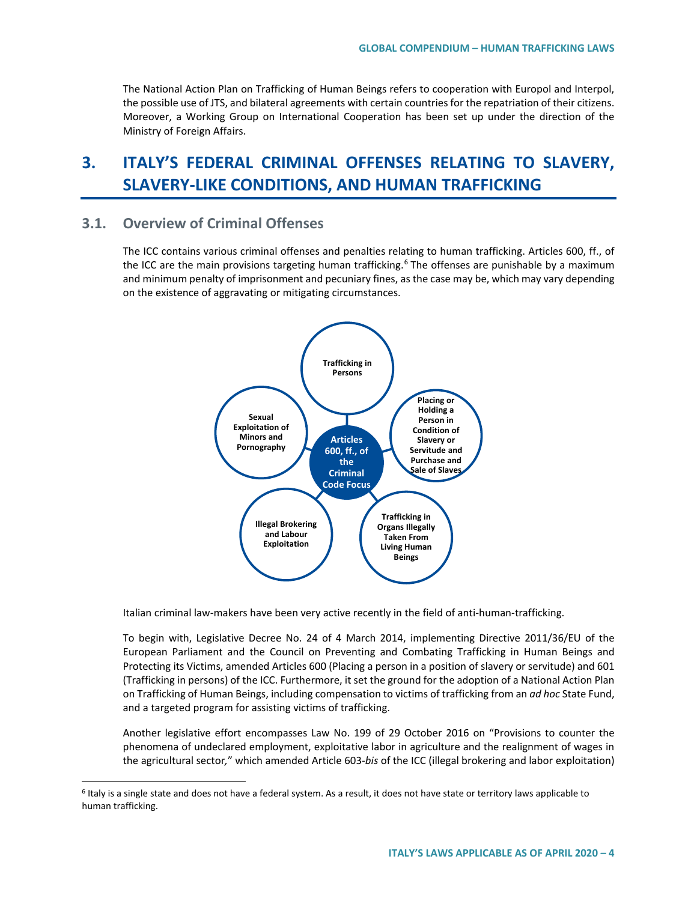The National Action Plan on Trafficking of Human Beings refers to cooperation with Europol and Interpol, the possible use of JTS, and bilateral agreements with certain countries for the repatriation of their citizens. Moreover, a Working Group on International Cooperation has been set up under the direction of the Ministry of Foreign Affairs.

# **3. ITALY'S FEDERAL CRIMINAL OFFENSES RELATING TO SLAVERY, SLAVERY-LIKE CONDITIONS, AND HUMAN TRAFFICKING**

## **3.1. Overview of Criminal Offenses**

The ICC contains various criminal offenses and penalties relating to human trafficking. Articles 600, ff., of the ICC are the main provisions targeting human trafficking.<sup>[6](#page-3-0)</sup> The offenses are punishable by a maximum and minimum penalty of imprisonment and pecuniary fines, as the case may be, which may vary depending on the existence of aggravating or mitigating circumstances.



Italian criminal law-makers have been very active recently in the field of anti-human-trafficking.

To begin with, Legislative Decree No. 24 of 4 March 2014, implementing Directive 2011/36/EU of the European Parliament and the Council on Preventing and Combating Trafficking in Human Beings and Protecting its Victims, amended Articles 600 (Placing a person in a position of slavery or servitude) and 601 (Trafficking in persons) of the ICC. Furthermore, it set the ground for the adoption of a National Action Plan on Trafficking of Human Beings, including compensation to victims of trafficking from an *ad hoc* State Fund, and a targeted program for assisting victims of trafficking.

Another legislative effort encompasses Law No. 199 of 29 October 2016 on "Provisions to counter the phenomena of undeclared employment, exploitative labor in agriculture and the realignment of wages in the agricultural sector*,*" which amended Article 603-*bis* of the ICC (illegal brokering and labor exploitation)

<span id="page-3-0"></span><sup>&</sup>lt;sup>6</sup> Italy is a single state and does not have a federal system. As a result, it does not have state or territory laws applicable to human trafficking.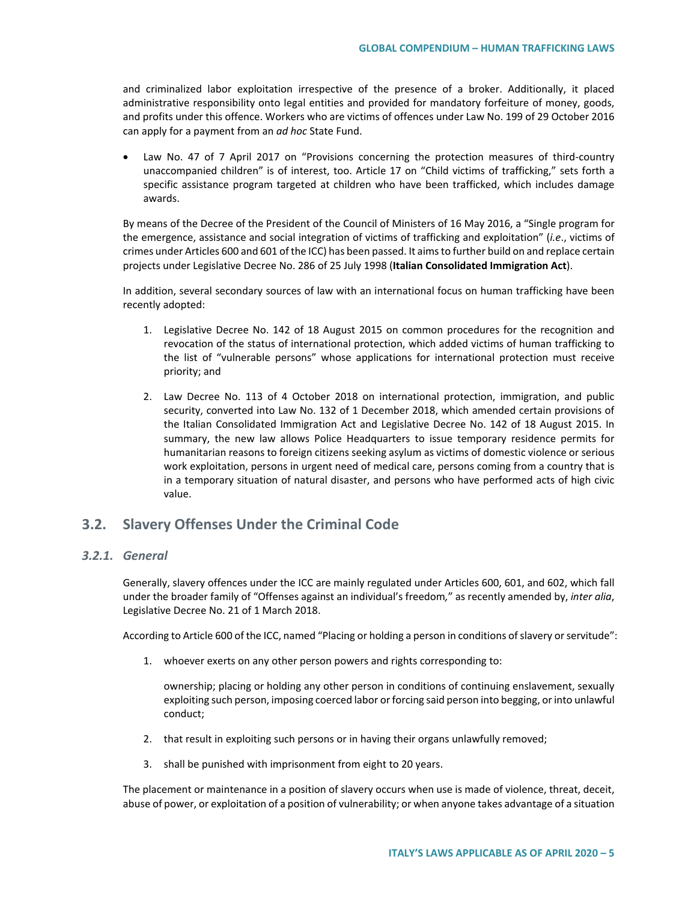and criminalized labor exploitation irrespective of the presence of a broker. Additionally, it placed administrative responsibility onto legal entities and provided for mandatory forfeiture of money, goods, and profits under this offence. Workers who are victims of offences under Law No. 199 of 29 October 2016 can apply for a payment from an *ad hoc* State Fund.

• Law No. 47 of 7 April 2017 on "Provisions concerning the protection measures of third-country unaccompanied children" is of interest, too. Article 17 on "Child victims of trafficking," sets forth a specific assistance program targeted at children who have been trafficked, which includes damage awards.

By means of the Decree of the President of the Council of Ministers of 16 May 2016, a "Single program for the emergence, assistance and social integration of victims of trafficking and exploitation" (*i.e*., victims of crimes under Articles 600 and 601 of the ICC) has been passed. It aims to further build on and replace certain projects under Legislative Decree No. 286 of 25 July 1998 (**Italian Consolidated Immigration Act**).

In addition, several secondary sources of law with an international focus on human trafficking have been recently adopted:

- 1. Legislative Decree No. 142 of 18 August 2015 on common procedures for the recognition and revocation of the status of international protection, which added victims of human trafficking to the list of "vulnerable persons" whose applications for international protection must receive priority; and
- 2. Law Decree No. 113 of 4 October 2018 on international protection, immigration, and public security, converted into Law No. 132 of 1 December 2018, which amended certain provisions of the Italian Consolidated Immigration Act and Legislative Decree No. 142 of 18 August 2015. In summary, the new law allows Police Headquarters to issue temporary residence permits for humanitarian reasons to foreign citizens seeking asylum as victims of domestic violence or serious work exploitation, persons in urgent need of medical care, persons coming from a country that is in a temporary situation of natural disaster, and persons who have performed acts of high civic value.

## **3.2. Slavery Offenses Under the Criminal Code**

### *3.2.1. General*

Generally, slavery offences under the ICC are mainly regulated under Articles 600, 601, and 602, which fall under the broader family of "Offenses against an individual's freedom*,*" as recently amended by, *inter alia*, Legislative Decree No. 21 of 1 March 2018.

According to Article 600 of the ICC, named "Placing or holding a person in conditions of slavery or servitude":

1. whoever exerts on any other person powers and rights corresponding to:

ownership; placing or holding any other person in conditions of continuing enslavement, sexually exploiting such person, imposing coerced labor or forcing said person into begging, or into unlawful conduct;

- 2. that result in exploiting such persons or in having their organs unlawfully removed;
- 3. shall be punished with imprisonment from eight to 20 years.

The placement or maintenance in a position of slavery occurs when use is made of violence, threat, deceit, abuse of power, or exploitation of a position of vulnerability; or when anyone takes advantage of a situation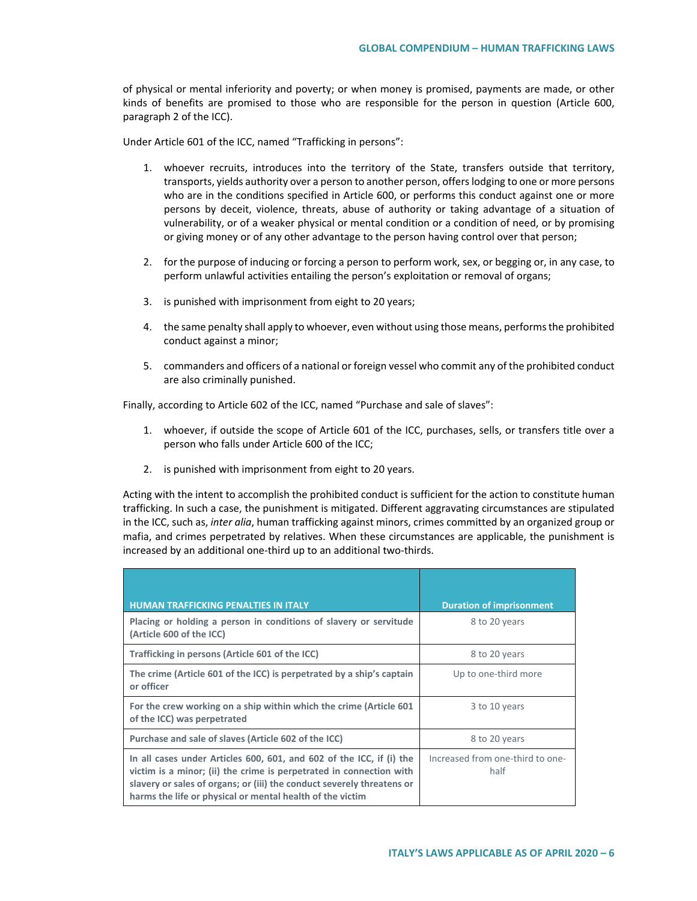of physical or mental inferiority and poverty; or when money is promised, payments are made, or other kinds of benefits are promised to those who are responsible for the person in question (Article 600, paragraph 2 of the ICC).

Under Article 601 of the ICC, named "Trafficking in persons":

- 1. whoever recruits, introduces into the territory of the State, transfers outside that territory, transports, yields authority over a person to another person, offers lodging to one or more persons who are in the conditions specified in Article 600, or performs this conduct against one or more persons by deceit, violence, threats, abuse of authority or taking advantage of a situation of vulnerability, or of a weaker physical or mental condition or a condition of need, or by promising or giving money or of any other advantage to the person having control over that person;
- 2. for the purpose of inducing or forcing a person to perform work, sex, or begging or, in any case, to perform unlawful activities entailing the person's exploitation or removal of organs;
- 3. is punished with imprisonment from eight to 20 years;
- 4. the same penalty shall apply to whoever, even without using those means, performs the prohibited conduct against a minor;
- 5. commanders and officers of a national or foreign vessel who commit any of the prohibited conduct are also criminally punished.

Finally, according to Article 602 of the ICC, named "Purchase and sale of slaves":

- 1. whoever, if outside the scope of Article 601 of the ICC, purchases, sells, or transfers title over a person who falls under Article 600 of the ICC;
- 2. is punished with imprisonment from eight to 20 years.

Acting with the intent to accomplish the prohibited conduct is sufficient for the action to constitute human trafficking. In such a case, the punishment is mitigated. Different aggravating circumstances are stipulated in the ICC, such as, *inter alia*, human trafficking against minors, crimes committed by an organized group or mafia, and crimes perpetrated by relatives. When these circumstances are applicable, the punishment is increased by an additional one-third up to an additional two-thirds.

| <b>HUMAN TRAFFICKING PENALTIES IN ITALY</b>                                                                                                                                                                                                                                        | <b>Duration of imprisonment</b>          |
|------------------------------------------------------------------------------------------------------------------------------------------------------------------------------------------------------------------------------------------------------------------------------------|------------------------------------------|
| Placing or holding a person in conditions of slavery or servitude<br>(Article 600 of the ICC)                                                                                                                                                                                      | 8 to 20 years                            |
| Trafficking in persons (Article 601 of the ICC)                                                                                                                                                                                                                                    | 8 to 20 years                            |
| The crime (Article 601 of the ICC) is perpetrated by a ship's captain<br>or officer                                                                                                                                                                                                | Up to one-third more                     |
| For the crew working on a ship within which the crime (Article 601)<br>of the ICC) was perpetrated                                                                                                                                                                                 | 3 to 10 years                            |
| Purchase and sale of slaves (Article 602 of the ICC)                                                                                                                                                                                                                               | 8 to 20 years                            |
| In all cases under Articles 600, 601, and 602 of the ICC, if (i) the<br>victim is a minor; (ii) the crime is perpetrated in connection with<br>slavery or sales of organs; or (iii) the conduct severely threatens or<br>harms the life or physical or mental health of the victim | Increased from one-third to one-<br>half |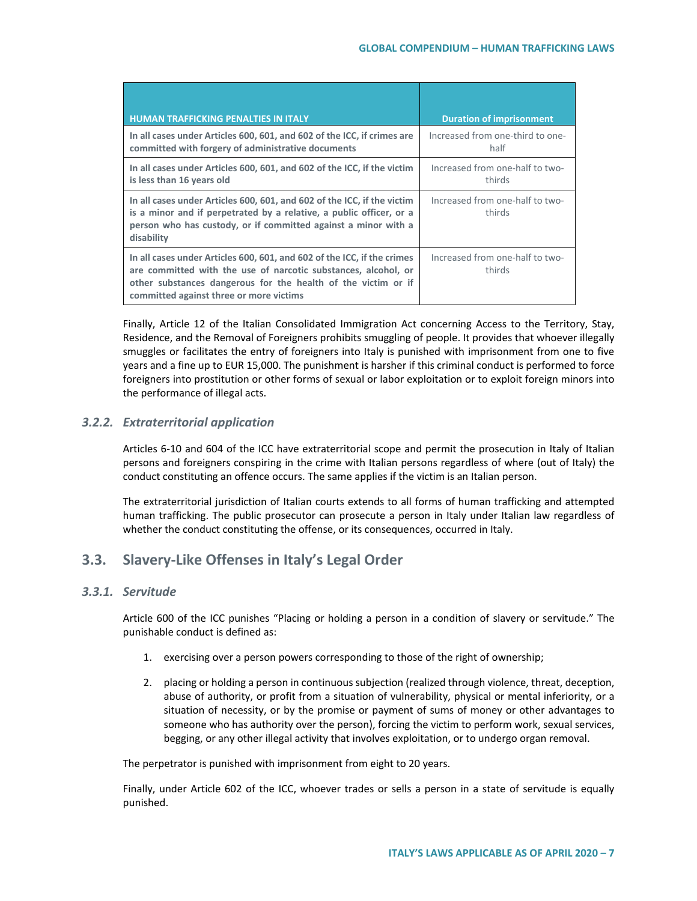| <b>HUMAN TRAFFICKING PENALTIES IN ITALY</b>                                                                                                                                                                                                           | <b>Duration of imprisonment</b>           |
|-------------------------------------------------------------------------------------------------------------------------------------------------------------------------------------------------------------------------------------------------------|-------------------------------------------|
| In all cases under Articles 600, 601, and 602 of the ICC, if crimes are<br>committed with forgery of administrative documents                                                                                                                         | Increased from one-third to one-<br>half  |
| In all cases under Articles 600, 601, and 602 of the ICC, if the victim<br>is less than 16 years old                                                                                                                                                  | Increased from one-half to two-<br>thirds |
| In all cases under Articles 600, 601, and 602 of the ICC, if the victim<br>is a minor and if perpetrated by a relative, a public officer, or a<br>person who has custody, or if committed against a minor with a<br>disability                        | Increased from one-half to two-<br>thirds |
| In all cases under Articles 600, 601, and 602 of the ICC, if the crimes<br>are committed with the use of narcotic substances, alcohol, or<br>other substances dangerous for the health of the victim or if<br>committed against three or more victims | Increased from one-half to two-<br>thirds |

Finally, Article 12 of the Italian Consolidated Immigration Act concerning Access to the Territory, Stay, Residence, and the Removal of Foreigners prohibits smuggling of people. It provides that whoever illegally smuggles or facilitates the entry of foreigners into Italy is punished with imprisonment from one to five years and a fine up to EUR 15,000. The punishment is harsher if this criminal conduct is performed to force foreigners into prostitution or other forms of sexual or labor exploitation or to exploit foreign minors into the performance of illegal acts.

## *3.2.2. Extraterritorial application*

Articles 6-10 and 604 of the ICC have extraterritorial scope and permit the prosecution in Italy of Italian persons and foreigners conspiring in the crime with Italian persons regardless of where (out of Italy) the conduct constituting an offence occurs. The same applies if the victim is an Italian person.

The extraterritorial jurisdiction of Italian courts extends to all forms of human trafficking and attempted human trafficking. The public prosecutor can prosecute a person in Italy under Italian law regardless of whether the conduct constituting the offense, or its consequences, occurred in Italy.

## **3.3. Slavery-Like Offenses in Italy's Legal Order**

## *3.3.1. Servitude*

Article 600 of the ICC punishes "Placing or holding a person in a condition of slavery or servitude." The punishable conduct is defined as:

- 1. exercising over a person powers corresponding to those of the right of ownership;
- 2. placing or holding a person in continuous subjection (realized through violence, threat, deception, abuse of authority, or profit from a situation of vulnerability, physical or mental inferiority, or a situation of necessity, or by the promise or payment of sums of money or other advantages to someone who has authority over the person), forcing the victim to perform work, sexual services, begging, or any other illegal activity that involves exploitation, or to undergo organ removal.

The perpetrator is punished with imprisonment from eight to 20 years.

Finally, under Article 602 of the ICC, whoever trades or sells a person in a state of servitude is equally punished.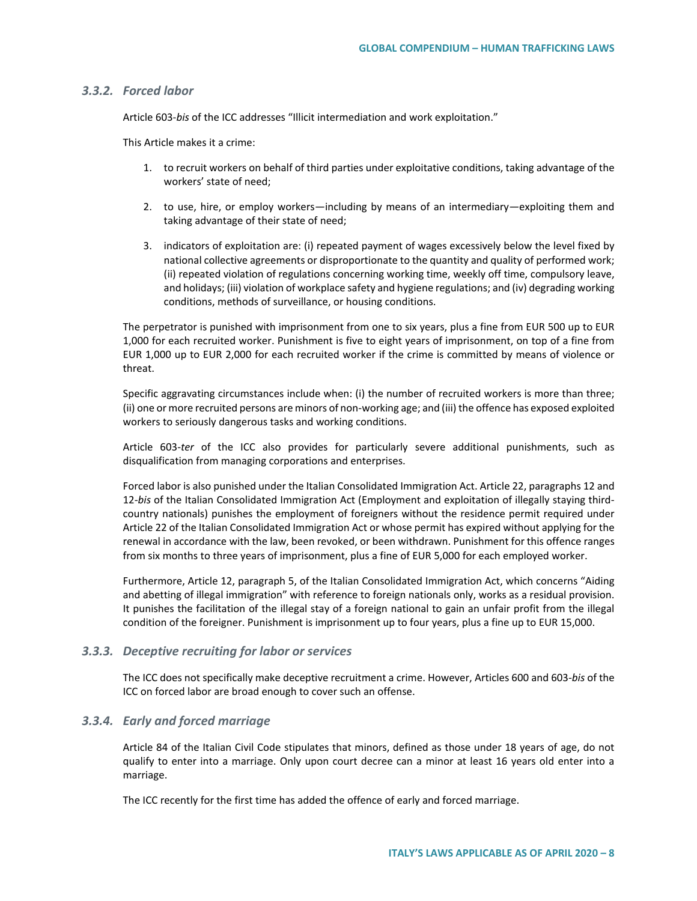#### *3.3.2. Forced labor*

Article 603-*bis* of the ICC addresses "Illicit intermediation and work exploitation."

This Article makes it a crime:

- 1. to recruit workers on behalf of third parties under exploitative conditions, taking advantage of the workers' state of need;
- 2. to use, hire, or employ workers*—*including by means of an intermediary*—*exploiting them and taking advantage of their state of need;
- 3. indicators of exploitation are: (i) repeated payment of wages excessively below the level fixed by national collective agreements or disproportionate to the quantity and quality of performed work; (ii) repeated violation of regulations concerning working time, weekly off time, compulsory leave, and holidays; (iii) violation of workplace safety and hygiene regulations; and (iv) degrading working conditions, methods of surveillance, or housing conditions.

The perpetrator is punished with imprisonment from one to six years, plus a fine from EUR 500 up to EUR 1,000 for each recruited worker. Punishment is five to eight years of imprisonment, on top of a fine from EUR 1,000 up to EUR 2,000 for each recruited worker if the crime is committed by means of violence or threat.

Specific aggravating circumstances include when: (i) the number of recruited workers is more than three; (ii) one or more recruited persons are minors of non-working age; and (iii) the offence has exposed exploited workers to seriously dangerous tasks and working conditions.

Article 603-*ter* of the ICC also provides for particularly severe additional punishments, such as disqualification from managing corporations and enterprises.

Forced labor is also punished under the Italian Consolidated Immigration Act. Article 22, paragraphs 12 and 12-*bis* of the Italian Consolidated Immigration Act (Employment and exploitation of illegally staying thirdcountry nationals) punishes the employment of foreigners without the residence permit required under Article 22 of the Italian Consolidated Immigration Act or whose permit has expired without applying for the renewal in accordance with the law, been revoked, or been withdrawn. Punishment for this offence ranges from six months to three years of imprisonment, plus a fine of EUR 5,000 for each employed worker.

Furthermore, Article 12, paragraph 5, of the Italian Consolidated Immigration Act, which concerns "Aiding and abetting of illegal immigration" with reference to foreign nationals only, works as a residual provision. It punishes the facilitation of the illegal stay of a foreign national to gain an unfair profit from the illegal condition of the foreigner. Punishment is imprisonment up to four years, plus a fine up to EUR 15,000.

#### *3.3.3. Deceptive recruiting for labor or services*

The ICC does not specifically make deceptive recruitment a crime. However, Articles 600 and 603*-bis* of the ICC on forced labor are broad enough to cover such an offense.

#### *3.3.4. Early and forced marriage*

Article 84 of the Italian Civil Code stipulates that minors, defined as those under 18 years of age, do not qualify to enter into a marriage. Only upon court decree can a minor at least 16 years old enter into a marriage.

The ICC recently for the first time has added the offence of early and forced marriage.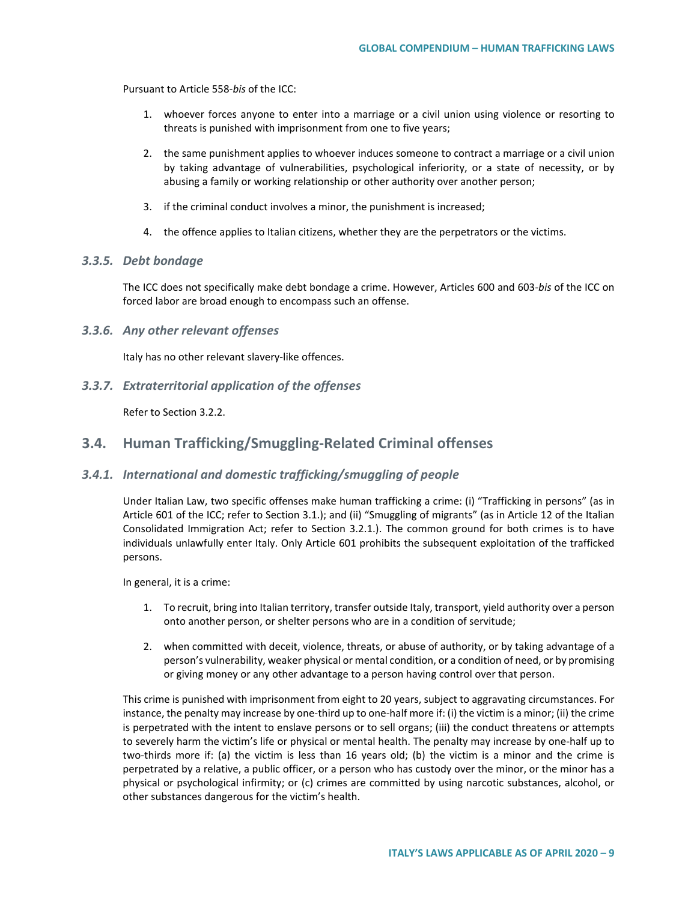Pursuant to Article 558-*bis* of the ICC:

- 1. whoever forces anyone to enter into a marriage or a civil union using violence or resorting to threats is punished with imprisonment from one to five years;
- 2. the same punishment applies to whoever induces someone to contract a marriage or a civil union by taking advantage of vulnerabilities, psychological inferiority, or a state of necessity, or by abusing a family or working relationship or other authority over another person;
- 3. if the criminal conduct involves a minor, the punishment is increased;
- 4. the offence applies to Italian citizens, whether they are the perpetrators or the victims.

#### *3.3.5. Debt bondage*

The ICC does not specifically make debt bondage a crime. However, Articles 600 and 603*-bis* of the ICC on forced labor are broad enough to encompass such an offense.

#### *3.3.6. Any other relevant offenses*

Italy has no other relevant slavery-like offences.

*3.3.7. Extraterritorial application of the offenses*

Refer to Section 3.2.2.

### **3.4. Human Trafficking/Smuggling-Related Criminal offenses**

#### *3.4.1. International and domestic trafficking/smuggling of people*

Under Italian Law, two specific offenses make human trafficking a crime: (i) "Trafficking in persons" (as in Article 601 of the ICC; refer to Section 3.1.); and (ii) "Smuggling of migrants" (as in Article 12 of the Italian Consolidated Immigration Act; refer to Section 3.2.1.). The common ground for both crimes is to have individuals unlawfully enter Italy. Only Article 601 prohibits the subsequent exploitation of the trafficked persons.

In general, it is a crime:

- 1. To recruit, bring into Italian territory, transfer outside Italy, transport, yield authority over a person onto another person, or shelter persons who are in a condition of servitude;
- 2. when committed with deceit, violence, threats, or abuse of authority, or by taking advantage of a person's vulnerability, weaker physical or mental condition, or a condition of need, or by promising or giving money or any other advantage to a person having control over that person.

This crime is punished with imprisonment from eight to 20 years, subject to aggravating circumstances. For instance, the penalty may increase by one-third up to one-half more if: (i) the victim is a minor; (ii) the crime is perpetrated with the intent to enslave persons or to sell organs; (iii) the conduct threatens or attempts to severely harm the victim's life or physical or mental health. The penalty may increase by one-half up to two-thirds more if: (a) the victim is less than 16 years old; (b) the victim is a minor and the crime is perpetrated by a relative, a public officer, or a person who has custody over the minor, or the minor has a physical or psychological infirmity; or (c) crimes are committed by using narcotic substances, alcohol, or other substances dangerous for the victim's health.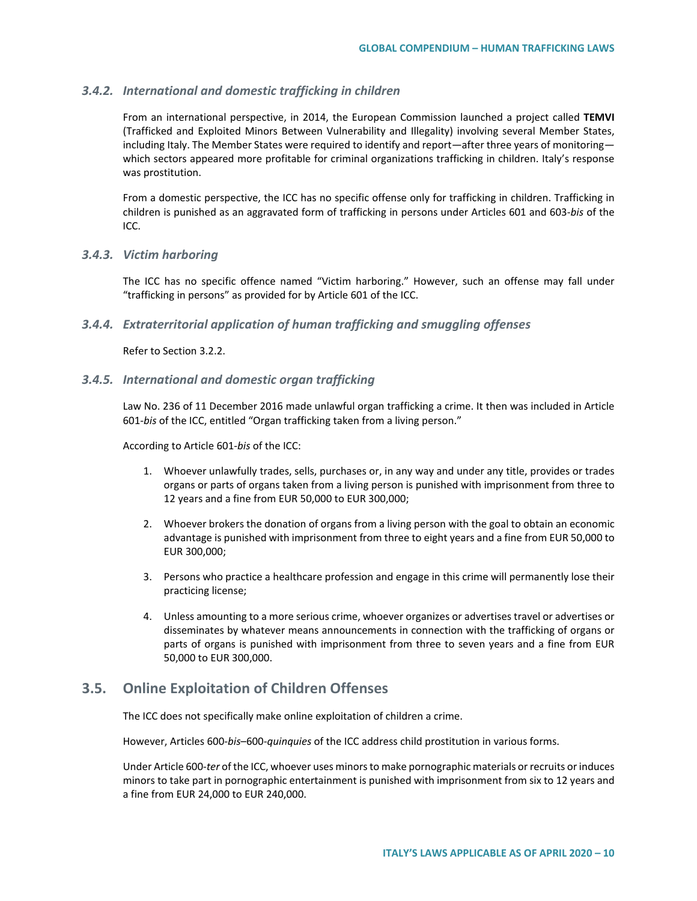#### *3.4.2. International and domestic trafficking in children*

From an international perspective, in 2014, the European Commission launched a project called **TEMVI** (Trafficked and Exploited Minors Between Vulnerability and Illegality) involving several Member States, including Italy. The Member States were required to identify and report*—*after three years of monitoring which sectors appeared more profitable for criminal organizations trafficking in children. Italy's response was prostitution.

From a domestic perspective, the ICC has no specific offense only for trafficking in children. Trafficking in children is punished as an aggravated form of trafficking in persons under Articles 601 and 603-*bis* of the ICC.

#### *3.4.3. Victim harboring*

The ICC has no specific offence named "Victim harboring." However, such an offense may fall under "trafficking in persons" as provided for by Article 601 of the ICC.

### *3.4.4. Extraterritorial application of human trafficking and smuggling offenses*

Refer to Section 3.2.2.

#### *3.4.5. International and domestic organ trafficking*

Law No. 236 of 11 December 2016 made unlawful organ trafficking a crime. It then was included in Article 601*-bis* of the ICC, entitled "Organ trafficking taken from a living person."

According to Article 601-*bis* of the ICC:

- 1. Whoever unlawfully trades, sells, purchases or, in any way and under any title, provides or trades organs or parts of organs taken from a living person is punished with imprisonment from three to 12 years and a fine from EUR 50,000 to EUR 300,000;
- 2. Whoever brokers the donation of organs from a living person with the goal to obtain an economic advantage is punished with imprisonment from three to eight years and a fine from EUR 50,000 to EUR 300,000;
- 3. Persons who practice a healthcare profession and engage in this crime will permanently lose their practicing license;
- 4. Unless amounting to a more serious crime, whoever organizes or advertises travel or advertises or disseminates by whatever means announcements in connection with the trafficking of organs or parts of organs is punished with imprisonment from three to seven years and a fine from EUR 50,000 to EUR 300,000.

## **3.5. Online Exploitation of Children Offenses**

The ICC does not specifically make online exploitation of children a crime.

However, Articles 600*-bis*–600-*quinquies* of the ICC address child prostitution in various forms.

Under Article 600-*ter* of the ICC, whoever uses minors to make pornographic materials or recruits or induces minors to take part in pornographic entertainment is punished with imprisonment from six to 12 years and a fine from EUR 24,000 to EUR 240,000.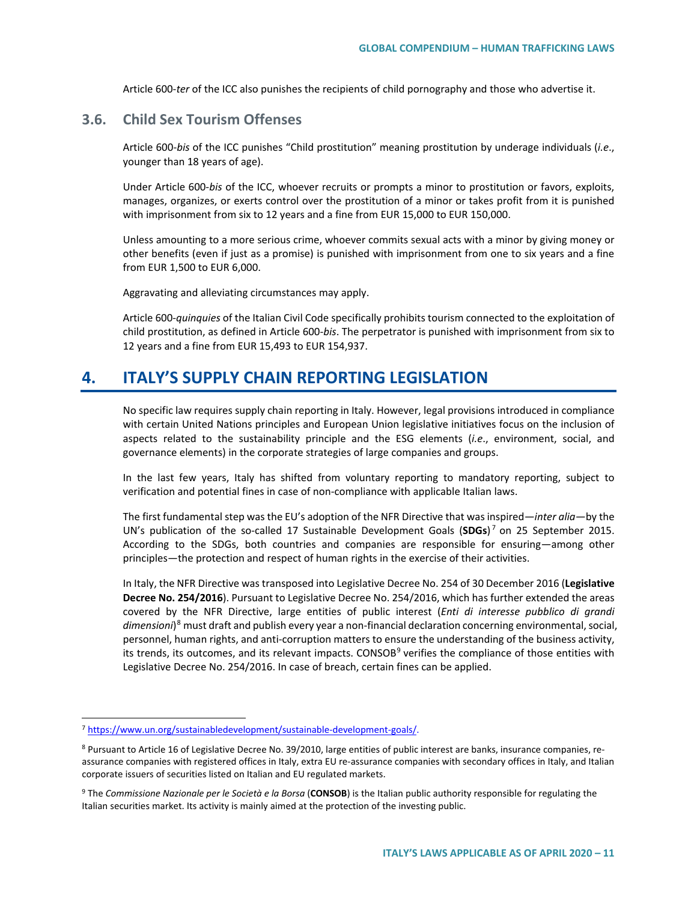Article 600-*ter* of the ICC also punishes the recipients of child pornography and those who advertise it.

## **3.6. Child Sex Tourism Offenses**

Article 600-*bis* of the ICC punishes "Child prostitution" meaning prostitution by underage individuals (*i.e*., younger than 18 years of age).

Under Article 600-*bis* of the ICC, whoever recruits or prompts a minor to prostitution or favors, exploits, manages, organizes, or exerts control over the prostitution of a minor or takes profit from it is punished with imprisonment from six to 12 years and a fine from EUR 15,000 to EUR 150,000.

Unless amounting to a more serious crime, whoever commits sexual acts with a minor by giving money or other benefits (even if just as a promise) is punished with imprisonment from one to six years and a fine from EUR 1,500 to EUR 6,000.

Aggravating and alleviating circumstances may apply.

Article 600-*quinquies* of the Italian Civil Code specifically prohibits tourism connected to the exploitation of child prostitution, as defined in Article 600-*bis*. The perpetrator is punished with imprisonment from six to 12 years and a fine from EUR 15,493 to EUR 154,937.

## **4. ITALY'S SUPPLY CHAIN REPORTING LEGISLATION**

No specific law requires supply chain reporting in Italy. However, legal provisions introduced in compliance with certain United Nations principles and European Union legislative initiatives focus on the inclusion of aspects related to the sustainability principle and the ESG elements (*i.e*., environment, social, and governance elements) in the corporate strategies of large companies and groups.

In the last few years, Italy has shifted from voluntary reporting to mandatory reporting, subject to verification and potential fines in case of non-compliance with applicable Italian laws.

The first fundamental step was the EU's adoption of the NFR Directive that was inspired*—inter alia—*by the UN's publication of the so-called 17 Sustainable Development Goals (**SDGs**) [7](#page-10-0) on 25 September 2015. According to the SDGs, both countries and companies are responsible for ensuring*—*among other principles*—*the protection and respect of human rights in the exercise of their activities.

In Italy, the NFR Directive was transposed into Legislative Decree No. 254 of 30 December 2016 (**Legislative Decree No. 254/2016**). Pursuant to Legislative Decree No. 254/2016, which has further extended the areas covered by the NFR Directive, large entities of public interest (*Enti di interesse pubblico di grandi dimensioni*)[8](#page-10-1) must draft and publish every year a non-financial declaration concerning environmental, social, personnel, human rights, and anti-corruption matters to ensure the understanding of the business activity, its trends, its outcomes, and its relevant impacts. CONSOB<sup>[9](#page-10-2)</sup> verifies the compliance of those entities with Legislative Decree No. 254/2016. In case of breach, certain fines can be applied.

<span id="page-10-0"></span> <sup>7</sup> [https://www.un.org/sustainabledevelopment/sustainable-development-goals/.](https://www.un.org/sustainabledevelopment/sustainable-development-goals/)

<span id="page-10-1"></span><sup>8</sup> Pursuant to Article 16 of Legislative Decree No. 39/2010, large entities of public interest are banks, insurance companies, reassurance companies with registered offices in Italy, extra EU re-assurance companies with secondary offices in Italy, and Italian corporate issuers of securities listed on Italian and EU regulated markets.

<span id="page-10-2"></span><sup>9</sup> The *Commissione Nazionale per le Società e la Borsa* (**CONSOB**) is the Italian public authority responsible for regulating the Italian securities market. Its activity is mainly aimed at the protection of the investing public.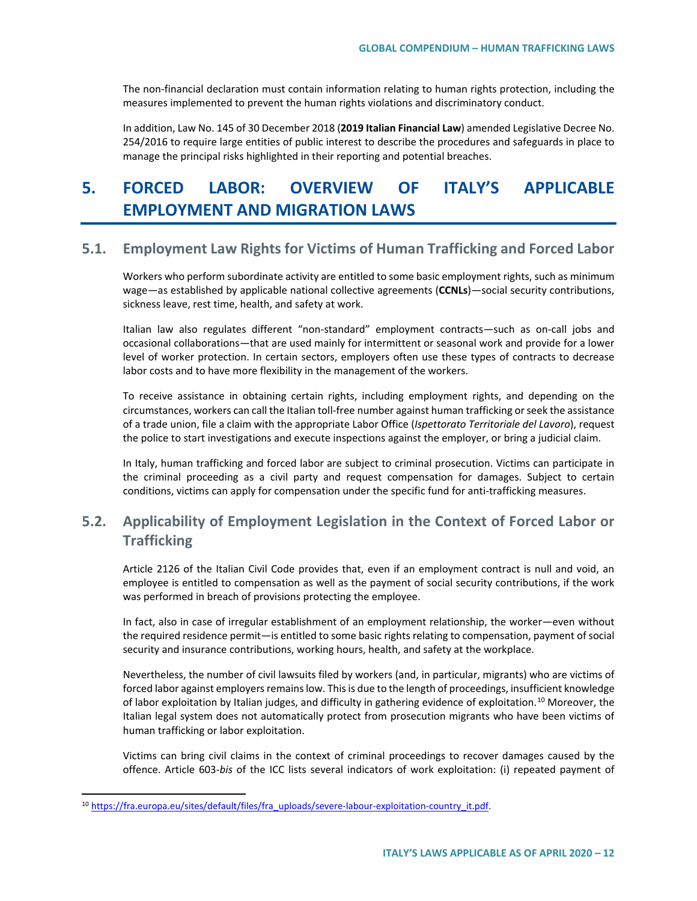The non-financial declaration must contain information relating to human rights protection, including the measures implemented to prevent the human rights violations and discriminatory conduct.

In addition, Law No. 145 of 30 December 2018 (**2019 Italian Financial Law**) amended Legislative Decree No. 254/2016 to require large entities of public interest to describe the procedures and safeguards in place to manage the principal risks highlighted in their reporting and potential breaches.

# **5. FORCED LABOR: OVERVIEW OF ITALY'S APPLICABLE EMPLOYMENT AND MIGRATION LAWS**

## **5.1. Employment Law Rights for Victims of Human Trafficking and Forced Labor**

Workers who perform subordinate activity are entitled to some basic employment rights, such as minimum wage*—*as established by applicable national collective agreements (**CCNLs**)*—*social security contributions, sickness leave, rest time, health, and safety at work.

Italian law also regulates different "non-standard" employment contracts*—*such as on-call jobs and occasional collaborations*—*that are used mainly for intermittent or seasonal work and provide for a lower level of worker protection. In certain sectors, employers often use these types of contracts to decrease labor costs and to have more flexibility in the management of the workers.

To receive assistance in obtaining certain rights, including employment rights, and depending on the circumstances, workers can call the Italian toll-free number against human trafficking or seek the assistance of a trade union, file a claim with the appropriate Labor Office (*Ispettorato Territoriale del Lavoro*), request the police to start investigations and execute inspections against the employer, or bring a judicial claim.

In Italy, human trafficking and forced labor are subject to criminal prosecution. Victims can participate in the criminal proceeding as a civil party and request compensation for damages. Subject to certain conditions, victims can apply for compensation under the specific fund for anti-trafficking measures.

## **5.2. Applicability of Employment Legislation in the Context of Forced Labor or Trafficking**

Article 2126 of the Italian Civil Code provides that, even if an employment contract is null and void, an employee is entitled to compensation as well as the payment of social security contributions, if the work was performed in breach of provisions protecting the employee.

In fact, also in case of irregular establishment of an employment relationship, the worker*—*even without the required residence permit*—*is entitled to some basic rights relating to compensation, payment of social security and insurance contributions, working hours, health, and safety at the workplace.

Nevertheless, the number of civil lawsuits filed by workers (and, in particular, migrants) who are victims of forced labor against employers remains low. This is due to the length of proceedings, insufficient knowledge of labor exploitation by Italian judges, and difficulty in gathering evidence of exploitation.<sup>[10](#page-11-0)</sup> Moreover, the Italian legal system does not automatically protect from prosecution migrants who have been victims of human trafficking or labor exploitation.

Victims can bring civil claims in the context of criminal proceedings to recover damages caused by the offence. Article 603-*bis* of the ICC lists several indicators of work exploitation: (i) repeated payment of

<span id="page-11-0"></span><sup>10</sup> [https://fra.europa.eu/sites/default/files/fra\\_uploads/severe-labour-exploitation-country\\_it.pdf.](https://fra.europa.eu/sites/default/files/fra_uploads/severe-labour-exploitation-country_it.pdf)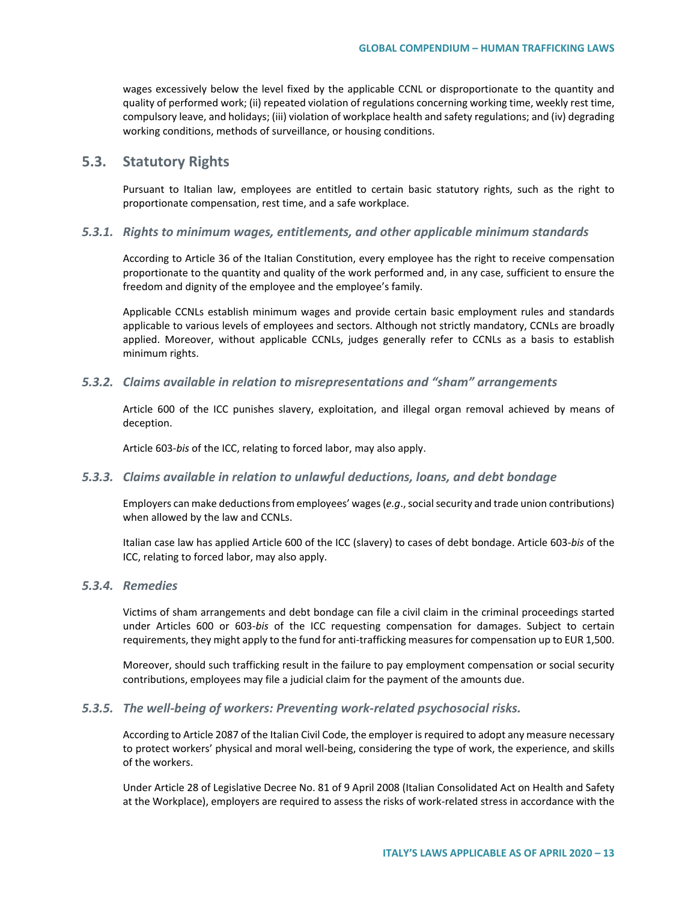wages excessively below the level fixed by the applicable CCNL or disproportionate to the quantity and quality of performed work; (ii) repeated violation of regulations concerning working time, weekly rest time, compulsory leave, and holidays; (iii) violation of workplace health and safety regulations; and (iv) degrading working conditions, methods of surveillance, or housing conditions.

## **5.3. Statutory Rights**

Pursuant to Italian law, employees are entitled to certain basic statutory rights, such as the right to proportionate compensation, rest time, and a safe workplace.

#### *5.3.1. Rights to minimum wages, entitlements, and other applicable minimum standards*

According to Article 36 of the Italian Constitution, every employee has the right to receive compensation proportionate to the quantity and quality of the work performed and, in any case, sufficient to ensure the freedom and dignity of the employee and the employee's family.

Applicable CCNLs establish minimum wages and provide certain basic employment rules and standards applicable to various levels of employees and sectors. Although not strictly mandatory, CCNLs are broadly applied. Moreover, without applicable CCNLs, judges generally refer to CCNLs as a basis to establish minimum rights.

#### *5.3.2. Claims available in relation to misrepresentations and "sham" arrangements*

Article 600 of the ICC punishes slavery, exploitation, and illegal organ removal achieved by means of deception.

Article 603-*bis* of the ICC, relating to forced labor, may also apply.

#### *5.3.3. Claims available in relation to unlawful deductions, loans, and debt bondage*

Employers can make deductions from employees' wages (*e.g*., social security and trade union contributions) when allowed by the law and CCNLs.

Italian case law has applied Article 600 of the ICC (slavery) to cases of debt bondage. Article 603-*bis* of the ICC, relating to forced labor, may also apply.

#### *5.3.4. Remedies*

Victims of sham arrangements and debt bondage can file a civil claim in the criminal proceedings started under Articles 600 or 603-*bis* of the ICC requesting compensation for damages. Subject to certain requirements, they might apply to the fund for anti-trafficking measures for compensation up to EUR 1,500.

Moreover, should such trafficking result in the failure to pay employment compensation or social security contributions, employees may file a judicial claim for the payment of the amounts due.

#### *5.3.5. The well-being of workers: Preventing work-related psychosocial risks.*

According to Article 2087 of the Italian Civil Code, the employer is required to adopt any measure necessary to protect workers' physical and moral well-being, considering the type of work, the experience, and skills of the workers.

Under Article 28 of Legislative Decree No. 81 of 9 April 2008 (Italian Consolidated Act on Health and Safety at the Workplace), employers are required to assess the risks of work-related stress in accordance with the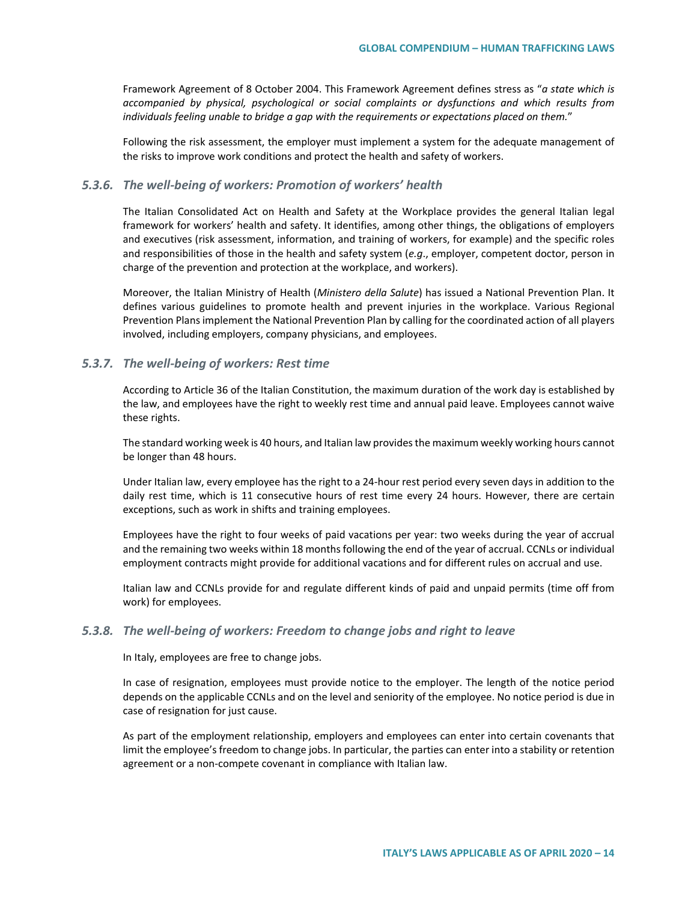Framework Agreement of 8 October 2004. This Framework Agreement defines stress as "*a state which is accompanied by physical, psychological or social complaints or dysfunctions and which results from individuals feeling unable to bridge a gap with the requirements or expectations placed on them.*"

Following the risk assessment, the employer must implement a system for the adequate management of the risks to improve work conditions and protect the health and safety of workers.

#### *5.3.6. The well-being of workers: Promotion of workers' health*

The Italian Consolidated Act on Health and Safety at the Workplace provides the general Italian legal framework for workers' health and safety. It identifies, among other things, the obligations of employers and executives (risk assessment, information, and training of workers, for example) and the specific roles and responsibilities of those in the health and safety system (*e.g*., employer, competent doctor, person in charge of the prevention and protection at the workplace, and workers).

Moreover, the Italian Ministry of Health (*Ministero della Salute*) has issued a National Prevention Plan. It defines various guidelines to promote health and prevent injuries in the workplace. Various Regional Prevention Plans implement the National Prevention Plan by calling for the coordinated action of all players involved, including employers, company physicians, and employees.

#### *5.3.7. The well-being of workers: Rest time*

According to Article 36 of the Italian Constitution, the maximum duration of the work day is established by the law, and employees have the right to weekly rest time and annual paid leave. Employees cannot waive these rights.

The standard working week is 40 hours, and Italian law provides the maximum weekly working hours cannot be longer than 48 hours.

Under Italian law, every employee has the right to a 24-hour rest period every seven days in addition to the daily rest time, which is 11 consecutive hours of rest time every 24 hours. However, there are certain exceptions, such as work in shifts and training employees.

Employees have the right to four weeks of paid vacations per year: two weeks during the year of accrual and the remaining two weeks within 18 months following the end of the year of accrual. CCNLs or individual employment contracts might provide for additional vacations and for different rules on accrual and use.

Italian law and CCNLs provide for and regulate different kinds of paid and unpaid permits (time off from work) for employees.

#### *5.3.8. The well-being of workers: Freedom to change jobs and right to leave*

In Italy, employees are free to change jobs.

In case of resignation, employees must provide notice to the employer. The length of the notice period depends on the applicable CCNLs and on the level and seniority of the employee. No notice period is due in case of resignation for just cause.

As part of the employment relationship, employers and employees can enter into certain covenants that limit the employee's freedom to change jobs. In particular, the parties can enter into a stability or retention agreement or a non-compete covenant in compliance with Italian law.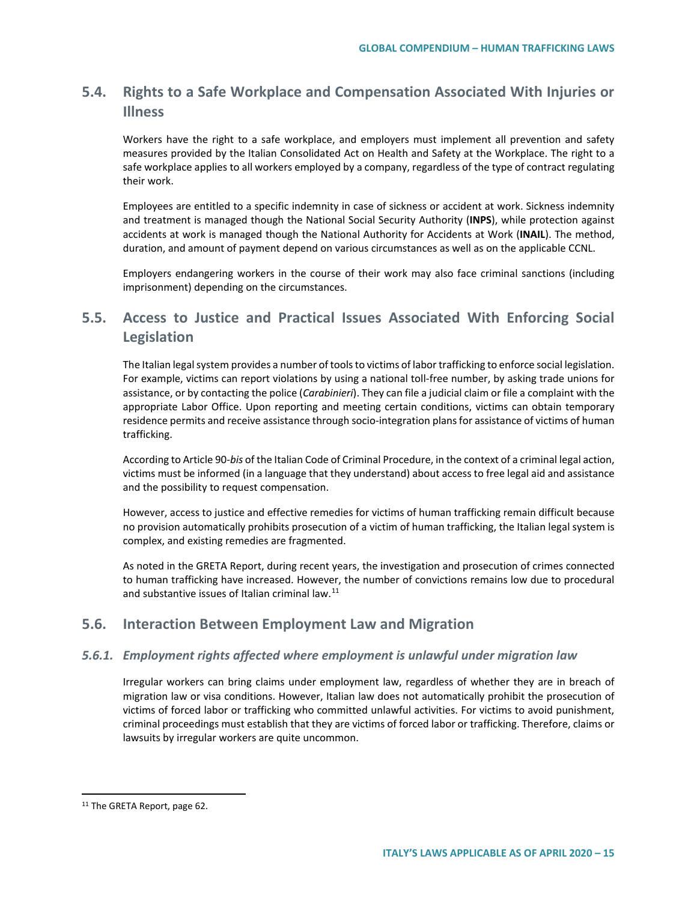## **5.4. Rights to a Safe Workplace and Compensation Associated With Injuries or Illness**

Workers have the right to a safe workplace, and employers must implement all prevention and safety measures provided by the Italian Consolidated Act on Health and Safety at the Workplace. The right to a safe workplace applies to all workers employed by a company, regardless of the type of contract regulating their work.

Employees are entitled to a specific indemnity in case of sickness or accident at work. Sickness indemnity and treatment is managed though the National Social Security Authority (**INPS**), while protection against accidents at work is managed though the National Authority for Accidents at Work (**INAIL**). The method, duration, and amount of payment depend on various circumstances as well as on the applicable CCNL.

Employers endangering workers in the course of their work may also face criminal sanctions (including imprisonment) depending on the circumstances.

## **5.5. Access to Justice and Practical Issues Associated With Enforcing Social Legislation**

The Italian legal system provides a number of tools to victims of labor trafficking to enforce social legislation. For example, victims can report violations by using a national toll-free number, by asking trade unions for assistance, or by contacting the police (*Carabinieri*). They can file a judicial claim or file a complaint with the appropriate Labor Office. Upon reporting and meeting certain conditions, victims can obtain temporary residence permits and receive assistance through socio-integration plans for assistance of victims of human trafficking.

According to Article 90-*bis* of the Italian Code of Criminal Procedure, in the context of a criminal legal action, victims must be informed (in a language that they understand) about access to free legal aid and assistance and the possibility to request compensation.

However, access to justice and effective remedies for victims of human trafficking remain difficult because no provision automatically prohibits prosecution of a victim of human trafficking, the Italian legal system is complex, and existing remedies are fragmented.

As noted in the GRETA Report, during recent years, the investigation and prosecution of crimes connected to human trafficking have increased. However, the number of convictions remains low due to procedural and substantive issues of Italian criminal law.<sup>[11](#page-14-0)</sup>

## **5.6. Interaction Between Employment Law and Migration**

#### *5.6.1. Employment rights affected where employment is unlawful under migration law*

Irregular workers can bring claims under employment law, regardless of whether they are in breach of migration law or visa conditions. However, Italian law does not automatically prohibit the prosecution of victims of forced labor or trafficking who committed unlawful activities. For victims to avoid punishment, criminal proceedings must establish that they are victims of forced labor or trafficking. Therefore, claims or lawsuits by irregular workers are quite uncommon.

<span id="page-14-0"></span><sup>11</sup> The GRETA Report, page 62.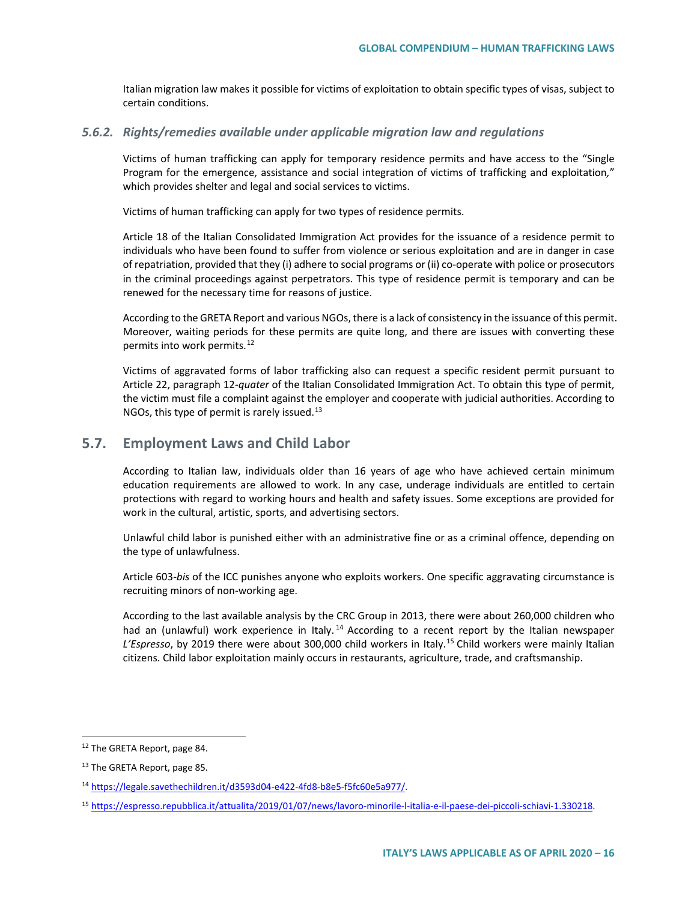Italian migration law makes it possible for victims of exploitation to obtain specific types of visas, subject to certain conditions.

#### *5.6.2. Rights/remedies available under applicable migration law and regulations*

Victims of human trafficking can apply for temporary residence permits and have access to the "Single Program for the emergence, assistance and social integration of victims of trafficking and exploitation*,*" which provides shelter and legal and social services to victims.

Victims of human trafficking can apply for two types of residence permits.

Article 18 of the Italian Consolidated Immigration Act provides for the issuance of a residence permit to individuals who have been found to suffer from violence or serious exploitation and are in danger in case of repatriation, provided that they (i) adhere to social programs or (ii) co-operate with police or prosecutors in the criminal proceedings against perpetrators. This type of residence permit is temporary and can be renewed for the necessary time for reasons of justice.

According to the GRETA Report and various NGOs, there is a lack of consistency in the issuance of this permit. Moreover, waiting periods for these permits are quite long, and there are issues with converting these permits into work permits.<sup>[12](#page-15-0)</sup>

Victims of aggravated forms of labor trafficking also can request a specific resident permit pursuant to Article 22, paragraph 12-*quater* of the Italian Consolidated Immigration Act. To obtain this type of permit, the victim must file a complaint against the employer and cooperate with judicial authorities. According to NGOs, this type of permit is rarely issued.<sup>[13](#page-15-1)</sup>

## **5.7. Employment Laws and Child Labor**

According to Italian law, individuals older than 16 years of age who have achieved certain minimum education requirements are allowed to work. In any case, underage individuals are entitled to certain protections with regard to working hours and health and safety issues. Some exceptions are provided for work in the cultural, artistic, sports, and advertising sectors.

Unlawful child labor is punished either with an administrative fine or as a criminal offence, depending on the type of unlawfulness.

Article 603-*bis* of the ICC punishes anyone who exploits workers. One specific aggravating circumstance is recruiting minors of non-working age.

According to the last available analysis by the CRC Group in 2013, there were about 260,000 children who had an (unlawful) work experience in Italy.<sup>[14](#page-15-2)</sup> According to a recent report by the Italian newspaper *L'Espresso*, by 2019 there were about 300,000 child workers in Italy.[15](#page-15-3) Child workers were mainly Italian citizens. Child labor exploitation mainly occurs in restaurants, agriculture, trade, and craftsmanship.

<span id="page-15-0"></span> <sup>12</sup> The GRETA Report, page 84.

<span id="page-15-1"></span><sup>&</sup>lt;sup>13</sup> The GRETA Report, page 85.

<span id="page-15-2"></span><sup>14</sup> [https://legale.savethechildren.it/d3593d04-e422-4fd8-b8e5-f5fc60e5a977/.](https://legale.savethechildren.it/d3593d04-e422-4fd8-b8e5-f5fc60e5a977/)

<span id="page-15-3"></span><sup>15</sup> [https://espresso.repubblica.it/attualita/2019/01/07/news/lavoro-minorile-l-italia-e-il-paese-dei-piccoli-schiavi-1.330218.](https://espresso.repubblica.it/attualita/2019/01/07/news/lavoro-minorile-l-italia-e-il-paese-dei-piccoli-schiavi-1.330218)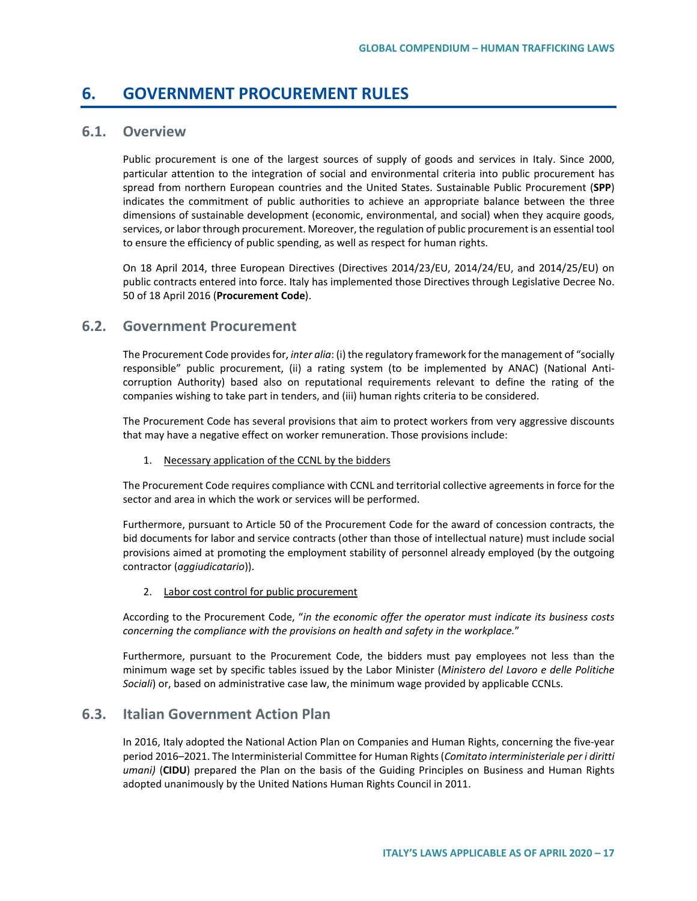## **6. GOVERNMENT PROCUREMENT RULES**

## **6.1. Overview**

Public procurement is one of the largest sources of supply of goods and services in Italy. Since 2000, particular attention to the integration of social and environmental criteria into public procurement has spread from northern European countries and the United States. Sustainable Public Procurement (**SPP**) indicates the commitment of public authorities to achieve an appropriate balance between the three dimensions of sustainable development (economic, environmental, and social) when they acquire goods, services, or labor through procurement. Moreover, the regulation of public procurement is an essential tool to ensure the efficiency of public spending, as well as respect for human rights.

On 18 April 2014, three European Directives (Directives 2014/23/EU, 2014/24/EU, and 2014/25/EU) on public contracts entered into force. Italy has implemented those Directives through Legislative Decree No. 50 of 18 April 2016 (**Procurement Code**).

## **6.2. Government Procurement**

The Procurement Code provides for, *inter alia*: (i) the regulatory framework for the management of "socially responsible" public procurement, (ii) a rating system (to be implemented by ANAC) (National Anticorruption Authority) based also on reputational requirements relevant to define the rating of the companies wishing to take part in tenders, and (iii) human rights criteria to be considered.

The Procurement Code has several provisions that aim to protect workers from very aggressive discounts that may have a negative effect on worker remuneration. Those provisions include:

#### 1. Necessary application of the CCNL by the bidders

The Procurement Code requires compliance with CCNL and territorial collective agreements in force for the sector and area in which the work or services will be performed.

Furthermore, pursuant to Article 50 of the Procurement Code for the award of concession contracts, the bid documents for labor and service contracts (other than those of intellectual nature) must include social provisions aimed at promoting the employment stability of personnel already employed (by the outgoing contractor (*aggiudicatario*)).

#### 2. Labor cost control for public procurement

According to the Procurement Code, "*in the economic offer the operator must indicate its business costs concerning the compliance with the provisions on health and safety in the workplace.*"

Furthermore, pursuant to the Procurement Code, the bidders must pay employees not less than the minimum wage set by specific tables issued by the Labor Minister (*Ministero del Lavoro e delle Politiche Sociali*) or, based on administrative case law, the minimum wage provided by applicable CCNLs.

## **6.3. Italian Government Action Plan**

In 2016, Italy adopted the National Action Plan on Companies and Human Rights, concerning the five-year period 2016–2021. The Interministerial Committee for Human Rights (*Comitato interministeriale per i diritti umani)* (**CIDU**) prepared the Plan on the basis of the Guiding Principles on Business and Human Rights adopted unanimously by the United Nations Human Rights Council in 2011.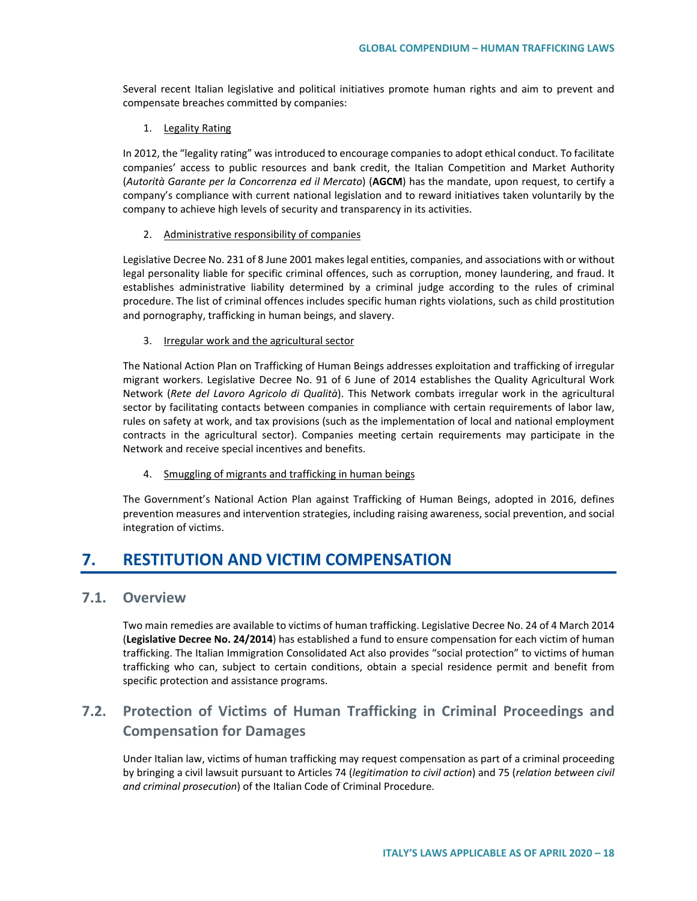Several recent Italian legislative and political initiatives promote human rights and aim to prevent and compensate breaches committed by companies:

#### 1. Legality Rating

In 2012, the "legality rating" was introduced to encourage companies to adopt ethical conduct. To facilitate companies' access to public resources and bank credit, the Italian Competition and Market Authority (*Autorità Garante per la Concorrenza ed il Mercato*) (**AGCM**) has the mandate, upon request, to certify a company's compliance with current national legislation and to reward initiatives taken voluntarily by the company to achieve high levels of security and transparency in its activities.

#### 2. Administrative responsibility of companies

Legislative Decree No. 231 of 8 June 2001 makes legal entities, companies, and associations with or without legal personality liable for specific criminal offences, such as corruption, money laundering, and fraud. It establishes administrative liability determined by a criminal judge according to the rules of criminal procedure. The list of criminal offences includes specific human rights violations, such as child prostitution and pornography, trafficking in human beings, and slavery.

#### 3. Irregular work and the agricultural sector

The National Action Plan on Trafficking of Human Beings addresses exploitation and trafficking of irregular migrant workers. Legislative Decree No. 91 of 6 June of 2014 establishes the Quality Agricultural Work Network (*Rete del Lavoro Agricolo di Qualità*). This Network combats irregular work in the agricultural sector by facilitating contacts between companies in compliance with certain requirements of labor law, rules on safety at work, and tax provisions (such as the implementation of local and national employment contracts in the agricultural sector). Companies meeting certain requirements may participate in the Network and receive special incentives and benefits.

#### 4. Smuggling of migrants and trafficking in human beings

The Government's National Action Plan against Trafficking of Human Beings, adopted in 2016, defines prevention measures and intervention strategies, including raising awareness, social prevention, and social integration of victims.

## **7. RESTITUTION AND VICTIM COMPENSATION**

## **7.1. Overview**

Two main remedies are available to victims of human trafficking. Legislative Decree No. 24 of 4 March 2014 (**Legislative Decree No. 24/2014**) has established a fund to ensure compensation for each victim of human trafficking. The Italian Immigration Consolidated Act also provides "social protection" to victims of human trafficking who can, subject to certain conditions, obtain a special residence permit and benefit from specific protection and assistance programs.

## **7.2. Protection of Victims of Human Trafficking in Criminal Proceedings and Compensation for Damages**

Under Italian law, victims of human trafficking may request compensation as part of a criminal proceeding by bringing a civil lawsuit pursuant to Articles 74 (*legitimation to civil action*) and 75 (*relation between civil and criminal prosecution*) of the Italian Code of Criminal Procedure.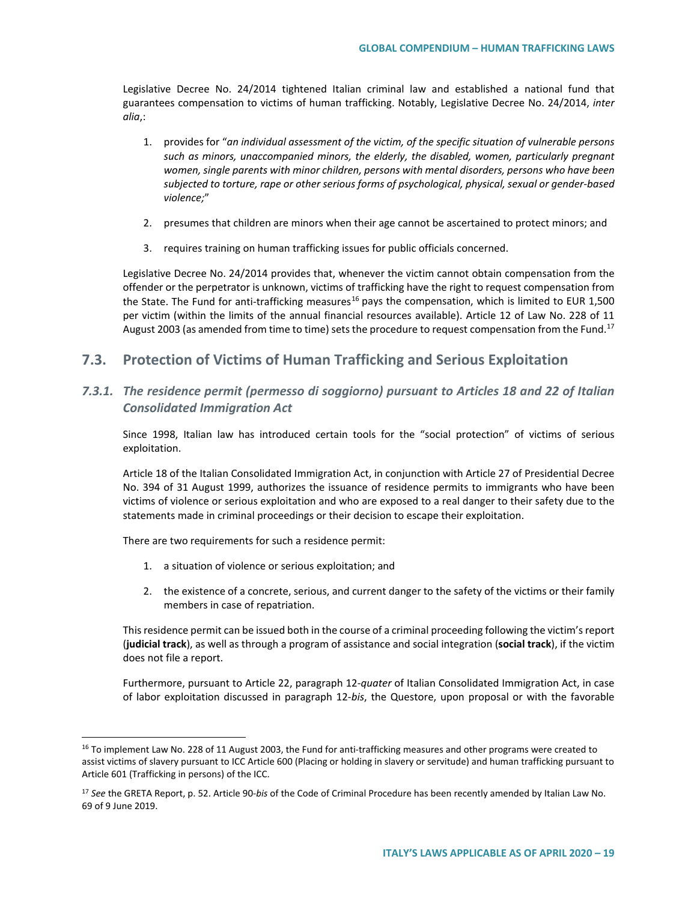Legislative Decree No. 24/2014 tightened Italian criminal law and established a national fund that guarantees compensation to victims of human trafficking. Notably, Legislative Decree No. 24/2014, *inter alia*,:

- 1. provides for "*an individual assessment of the victim, of the specific situation of vulnerable persons such as minors, unaccompanied minors, the elderly, the disabled, women, particularly pregnant women, single parents with minor children, persons with mental disorders, persons who have been subjected to torture, rape or other serious forms of psychological, physical, sexual or gender-based violence;*"
- 2. presumes that children are minors when their age cannot be ascertained to protect minors; and
- 3. requires training on human trafficking issues for public officials concerned.

Legislative Decree No. 24/2014 provides that, whenever the victim cannot obtain compensation from the offender or the perpetrator is unknown, victims of trafficking have the right to request compensation from the State. The Fund for anti-trafficking measures<sup>[16](#page-18-0)</sup> pays the compensation, which is limited to EUR 1,500 per victim (within the limits of the annual financial resources available). Article 12 of Law No. 228 of 11 August 2003 (as amended from time to time) sets the procedure to request compensation from the Fund.<sup>17</sup>

## **7.3. Protection of Victims of Human Trafficking and Serious Exploitation**

## *7.3.1. The residence permit (permesso di soggiorno) pursuant to Articles 18 and 22 of Italian Consolidated Immigration Act*

Since 1998, Italian law has introduced certain tools for the "social protection" of victims of serious exploitation.

Article 18 of the Italian Consolidated Immigration Act, in conjunction with Article 27 of Presidential Decree No. 394 of 31 August 1999, authorizes the issuance of residence permits to immigrants who have been victims of violence or serious exploitation and who are exposed to a real danger to their safety due to the statements made in criminal proceedings or their decision to escape their exploitation.

There are two requirements for such a residence permit:

- 1. a situation of violence or serious exploitation; and
- 2. the existence of a concrete, serious, and current danger to the safety of the victims or their family members in case of repatriation.

This residence permit can be issued both in the course of a criminal proceeding following the victim's report (**judicial track**), as well as through a program of assistance and social integration (**social track**), if the victim does not file a report.

Furthermore, pursuant to Article 22, paragraph 12-*quater* of Italian Consolidated Immigration Act, in case of labor exploitation discussed in paragraph 12-*bis*, the Questore, upon proposal or with the favorable

<span id="page-18-0"></span><sup>&</sup>lt;sup>16</sup> To implement Law No. 228 of 11 August 2003, the Fund for anti-trafficking measures and other programs were created to assist victims of slavery pursuant to ICC Article 600 (Placing or holding in slavery or servitude) and human trafficking pursuant to Article 601 (Trafficking in persons) of the ICC.

<span id="page-18-1"></span><sup>17</sup> *See* the GRETA Report, p. 52. Article 90-*bis* of the Code of Criminal Procedure has been recently amended by Italian Law No. 69 of 9 June 2019.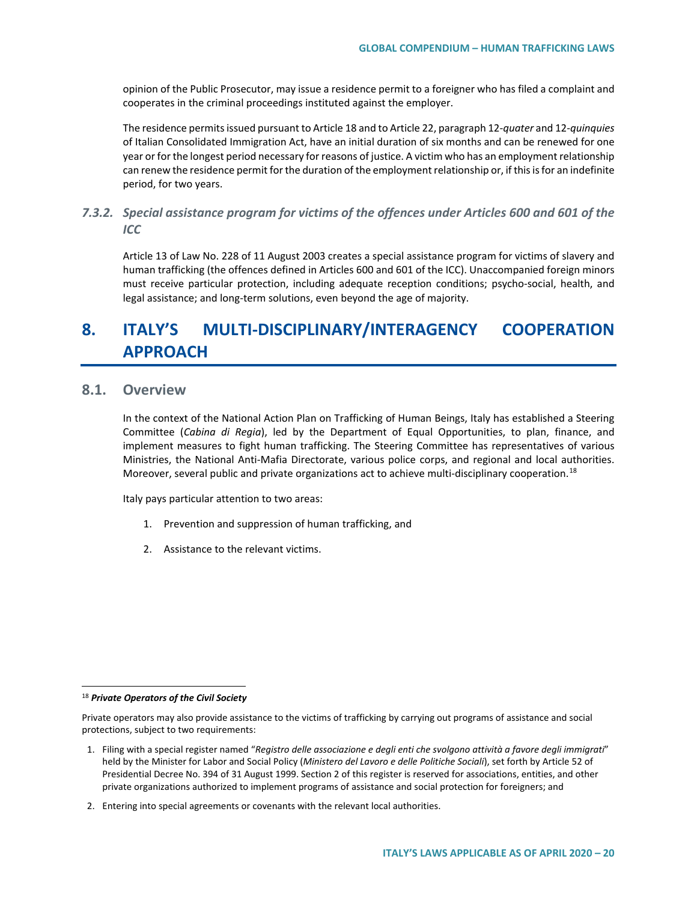opinion of the Public Prosecutor, may issue a residence permit to a foreigner who has filed a complaint and cooperates in the criminal proceedings instituted against the employer.

The residence permits issued pursuant to Article 18 and to Article 22, paragraph 12-*quater* and 12-*quinquies* of Italian Consolidated Immigration Act, have an initial duration of six months and can be renewed for one year or for the longest period necessary for reasons of justice. A victim who has an employment relationship can renew the residence permit for the duration of the employment relationship or, if this is for an indefinite period, for two years.

## *7.3.2. Special assistance program for victims of the offences under Articles 600 and 601 of the ICC*

Article 13 of Law No. 228 of 11 August 2003 creates a special assistance program for victims of slavery and human trafficking (the offences defined in Articles 600 and 601 of the ICC). Unaccompanied foreign minors must receive particular protection, including adequate reception conditions; psycho-social, health, and legal assistance; and long-term solutions, even beyond the age of majority.

# **8. ITALY'S MULTI-DISCIPLINARY/INTERAGENCY COOPERATION APPROACH**

## **8.1. Overview**

In the context of the National Action Plan on Trafficking of Human Beings, Italy has established a Steering Committee (*Cabina di Regia*), led by the Department of Equal Opportunities, to plan, finance, and implement measures to fight human trafficking. The Steering Committee has representatives of various Ministries, the National Anti-Mafia Directorate, various police corps, and regional and local authorities. Moreover, several public and private organizations act to achieve multi-disciplinary cooperation.<sup>[18](#page-19-0)</sup>

Italy pays particular attention to two areas:

- 1. Prevention and suppression of human trafficking, and
- 2. Assistance to the relevant victims.

<span id="page-19-0"></span> <sup>18</sup> *Private Operators of the Civil Society*

Private operators may also provide assistance to the victims of trafficking by carrying out programs of assistance and social protections, subject to two requirements:

<sup>1.</sup> Filing with a special register named "*Registro delle associazione e degli enti che svolgono attività a favore degli immigrati*" held by the Minister for Labor and Social Policy (*Ministero del Lavoro e delle Politiche Sociali*), set forth by Article 52 of Presidential Decree No. 394 of 31 August 1999. Section 2 of this register is reserved for associations, entities, and other private organizations authorized to implement programs of assistance and social protection for foreigners; and

<sup>2.</sup> Entering into special agreements or covenants with the relevant local authorities.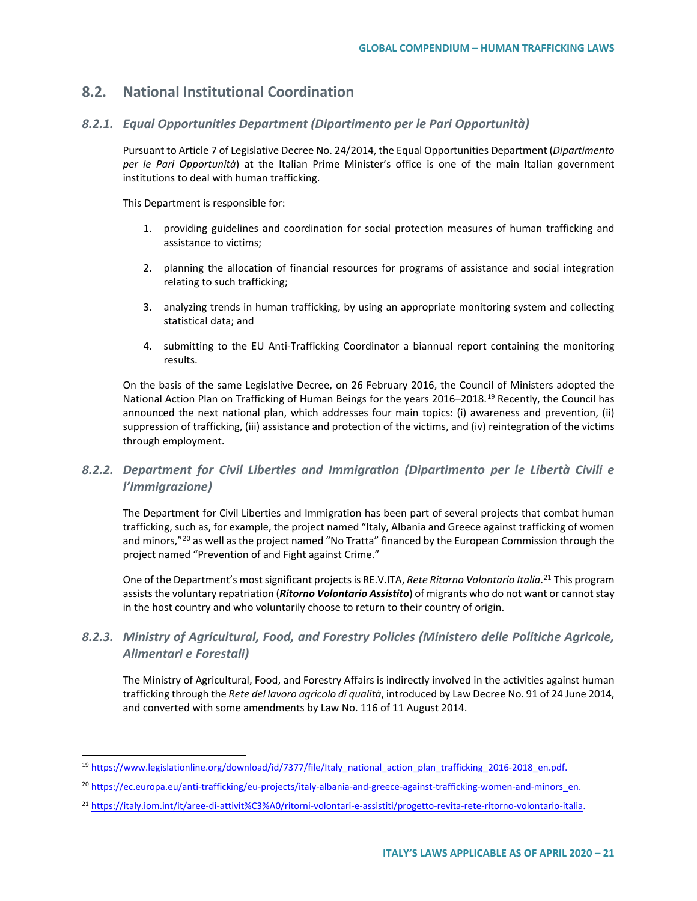## **8.2. National Institutional Coordination**

#### *8.2.1. Equal Opportunities Department (Dipartimento per le Pari Opportunità)*

Pursuant to Article 7 of Legislative Decree No. 24/2014, the Equal Opportunities Department (*Dipartimento per le Pari Opportunità*) at the Italian Prime Minister's office is one of the main Italian government institutions to deal with human trafficking.

This Department is responsible for:

- 1. providing guidelines and coordination for social protection measures of human trafficking and assistance to victims;
- 2. planning the allocation of financial resources for programs of assistance and social integration relating to such trafficking;
- 3. analyzing trends in human trafficking, by using an appropriate monitoring system and collecting statistical data; and
- 4. submitting to the EU Anti-Trafficking Coordinator a biannual report containing the monitoring results.

On the basis of the same Legislative Decree, on 26 February 2016, the Council of Ministers adopted the National Action Plan on Trafficking of Human Beings for the years 2016–2018.<sup>[19](#page-20-0)</sup> Recently, the Council has announced the next national plan, which addresses four main topics: (i) awareness and prevention, (ii) suppression of trafficking, (iii) assistance and protection of the victims, and (iv) reintegration of the victims through employment.

## *8.2.2. Department for Civil Liberties and Immigration (Dipartimento per le Libertà Civili e l'Immigrazione)*

The Department for Civil Liberties and Immigration has been part of several projects that combat human trafficking, such as, for example, the project named "Italy, Albania and Greece against trafficking of women and minors,"<sup>[20](#page-20-1)</sup> as well as the project named "No Tratta" financed by the European Commission through the project named "Prevention of and Fight against Crime."

One of the Department's most significant projects is RE.V.ITA, *Rete Ritorno Volontario Italia*. [21](#page-20-2) This program assists the voluntary repatriation (*Ritorno Volontario Assistito*) of migrants who do not want or cannot stay in the host country and who voluntarily choose to return to their country of origin.

## *8.2.3. Ministry of Agricultural, Food, and Forestry Policies (Ministero delle Politiche Agricole, Alimentari e Forestali)*

The Ministry of Agricultural, Food, and Forestry Affairs is indirectly involved in the activities against human trafficking through the *Rete del lavoro agricolo di qualità*, introduced by Law Decree No. 91 of 24 June 2014, and converted with some amendments by Law No. 116 of 11 August 2014.

<span id="page-20-0"></span><sup>&</sup>lt;sup>19</sup> [https://www.legislationline.org/download/id/7377/file/Italy\\_national\\_action\\_plan\\_trafficking\\_2016-2018\\_en.pdf.](https://www.legislationline.org/download/id/7377/file/Italy_national_action_plan_trafficking_2016-2018_en.pdf)

<span id="page-20-1"></span><sup>&</sup>lt;sup>20</sup> [https://ec.europa.eu/anti-trafficking/eu-projects/italy-albania-and-greece-against-trafficking-women-and-minors\\_en.](https://ec.europa.eu/anti-trafficking/eu-projects/italy-albania-and-greece-against-trafficking-women-and-minors_en)

<span id="page-20-2"></span><sup>&</sup>lt;sup>21</sup> https://italy.jom.int/it/aree-di-attivit%C3%A0/ritorni-volontari-e-assistiti/progetto-revita-rete-ritorno-volontario-italia.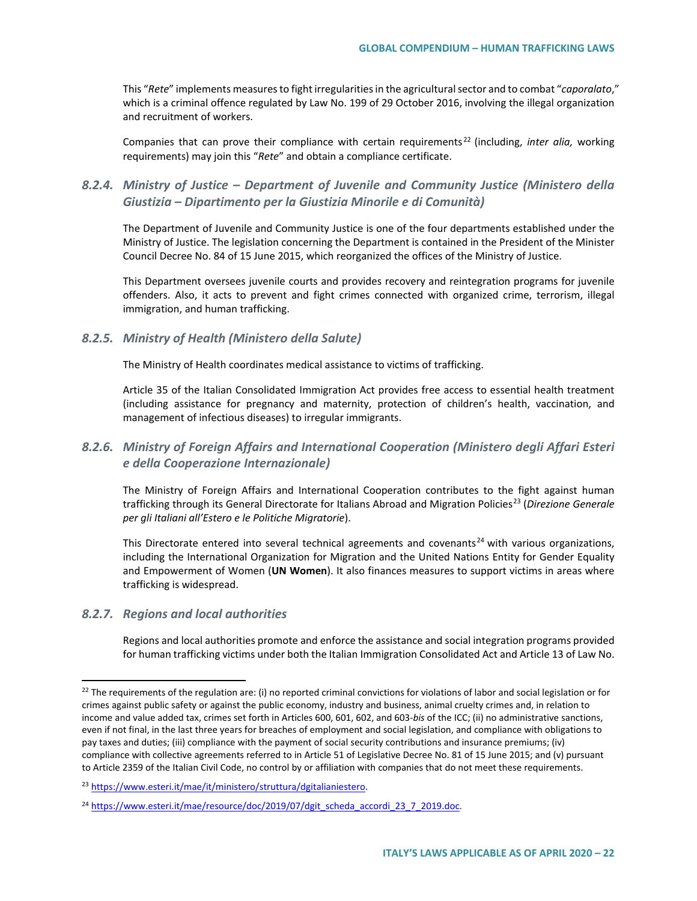This "*Rete*" implements measures to fight irregularities in the agricultural sector and to combat "*caporalato*," which is a criminal offence regulated by Law No. 199 of 29 October 2016, involving the illegal organization and recruitment of workers.

Companies that can prove their compliance with certain requirements [22](#page-21-0) (including, *inter alia,* working requirements) may join this "*Rete*" and obtain a compliance certificate.

## *8.2.4. Ministry of Justice – Department of Juvenile and Community Justice (Ministero della Giustizia – Dipartimento per la Giustizia Minorile e di Comunità)*

The Department of Juvenile and Community Justice is one of the four departments established under the Ministry of Justice. The legislation concerning the Department is contained in the President of the Minister Council Decree No. 84 of 15 June 2015, which reorganized the offices of the Ministry of Justice.

This Department oversees juvenile courts and provides recovery and reintegration programs for juvenile offenders. Also, it acts to prevent and fight crimes connected with organized crime, terrorism, illegal immigration, and human trafficking.

#### *8.2.5. Ministry of Health (Ministero della Salute)*

The Ministry of Health coordinates medical assistance to victims of trafficking.

Article 35 of the Italian Consolidated Immigration Act provides free access to essential health treatment (including assistance for pregnancy and maternity, protection of children's health, vaccination, and management of infectious diseases) to irregular immigrants.

## *8.2.6. Ministry of Foreign Affairs and International Cooperation (Ministero degli Affari Esteri e della Cooperazione Internazionale)*

The Ministry of Foreign Affairs and International Cooperation contributes to the fight against human trafficking through its General Directorate for Italians Abroad and Migration Policies<sup>[23](#page-21-1)</sup> (Direzione Generale *per gli Italiani all'Estero e le Politiche Migratorie*).

This Directorate entered into several technical agreements and covenants<sup>[24](#page-21-2)</sup> with various organizations, including the International Organization for Migration and the United Nations Entity for Gender Equality and Empowerment of Women (**UN Women**). It also finances measures to support victims in areas where trafficking is widespread.

### *8.2.7. Regions and local authorities*

Regions and local authorities promote and enforce the assistance and social integration programs provided for human trafficking victims under both the Italian Immigration Consolidated Act and Article 13 of Law No.

<span id="page-21-0"></span> $22$  The requirements of the regulation are: (i) no reported criminal convictions for violations of labor and social legislation or for crimes against public safety or against the public economy, industry and business, animal cruelty crimes and, in relation to income and value added tax, crimes set forth in Articles 600, 601, 602, and 603-*bis* of the ICC; (ii) no administrative sanctions, even if not final, in the last three years for breaches of employment and social legislation, and compliance with obligations to pay taxes and duties; (iii) compliance with the payment of social security contributions and insurance premiums; (iv) compliance with collective agreements referred to in Article 51 of Legislative Decree No. 81 of 15 June 2015; and (v) pursuant to Article 2359 of the Italian Civil Code, no control by or affiliation with companies that do not meet these requirements.

<span id="page-21-1"></span><sup>23</sup> [https://www.esteri.it/mae/it/ministero/struttura/dgitalianiestero.](https://www.esteri.it/mae/it/ministero/struttura/dgitalianiestero)

<span id="page-21-2"></span><sup>&</sup>lt;sup>24</sup> [https://www.esteri.it/mae/resource/doc/2019/07/dgit\\_scheda\\_accordi\\_23\\_7\\_2019.doc.](https://www.esteri.it/mae/resource/doc/2019/07/dgit_scheda_accordi_23_7_2019.doc)